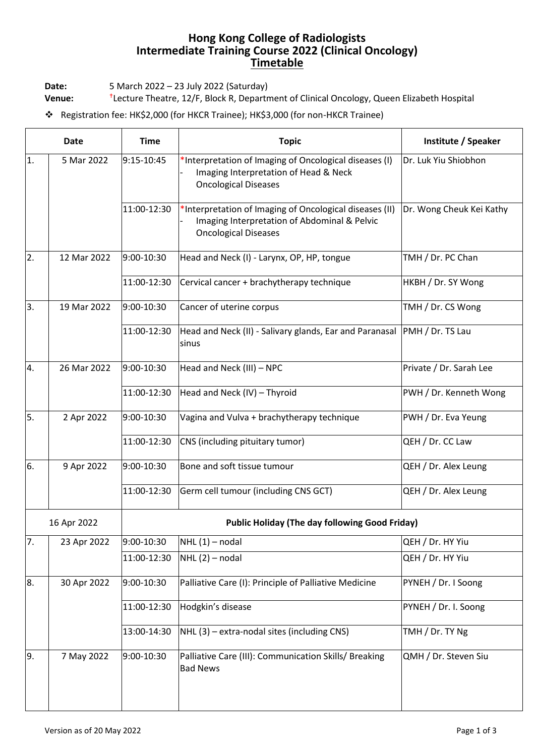## **Hong Kong College of Radiologists Intermediate Training Course 2022 (Clinical Oncology) Timetable**

**Date:** 5 March 2022 – 23 July 2022 (Saturday)

**Venue:** Lecture Theatre, 12/F, Block R, Department of Clinical Oncology, Queen Elizabeth Hospital

❖ Registration fee: HK\$2,000 (for HKCR Trainee); HK\$3,000 (for non-HKCR Trainee)

| <b>Date</b> |             | <b>Time</b> | <b>Topic</b>                                                                                                                           | Institute / Speaker      |  |  |
|-------------|-------------|-------------|----------------------------------------------------------------------------------------------------------------------------------------|--------------------------|--|--|
| 1.          | 5 Mar 2022  | 9:15-10:45  | *Interpretation of Imaging of Oncological diseases (I)<br>Imaging Interpretation of Head & Neck<br><b>Oncological Diseases</b>         | Dr. Luk Yiu Shiobhon     |  |  |
|             |             | 11:00-12:30 | *Interpretation of Imaging of Oncological diseases (II)<br>Imaging Interpretation of Abdominal & Pelvic<br><b>Oncological Diseases</b> | Dr. Wong Cheuk Kei Kathy |  |  |
| 2.          | 12 Mar 2022 | 9:00-10:30  | Head and Neck (I) - Larynx, OP, HP, tongue                                                                                             | TMH / Dr. PC Chan        |  |  |
|             |             | 11:00-12:30 | Cervical cancer + brachytherapy technique                                                                                              | HKBH / Dr. SY Wong       |  |  |
| 3.          | 19 Mar 2022 | 9:00-10:30  | Cancer of uterine corpus                                                                                                               | TMH / Dr. CS Wong        |  |  |
|             |             | 11:00-12:30 | Head and Neck (II) - Salivary glands, Ear and Paranasal PMH / Dr. TS Lau<br>sinus                                                      |                          |  |  |
| 4.          | 26 Mar 2022 | 9:00-10:30  | Head and Neck (III) - NPC                                                                                                              | Private / Dr. Sarah Lee  |  |  |
|             |             | 11:00-12:30 | Head and Neck (IV) - Thyroid                                                                                                           | PWH / Dr. Kenneth Wong   |  |  |
| 5.          | 2 Apr 2022  | 9:00-10:30  | Vagina and Vulva + brachytherapy technique                                                                                             | PWH / Dr. Eva Yeung      |  |  |
|             |             | 11:00-12:30 | CNS (including pituitary tumor)                                                                                                        | QEH / Dr. CC Law         |  |  |
| 6.          | 9 Apr 2022  | 9:00-10:30  | Bone and soft tissue tumour                                                                                                            | QEH / Dr. Alex Leung     |  |  |
|             |             | 11:00-12:30 | Germ cell tumour (including CNS GCT)                                                                                                   | QEH / Dr. Alex Leung     |  |  |
| 16 Apr 2022 |             |             | <b>Public Holiday (The day following Good Friday)</b>                                                                                  |                          |  |  |
| 7.          | 23 Apr 2022 | 9:00-10:30  | $NHL(1)$ – nodal                                                                                                                       | QEH / Dr. HY Yiu         |  |  |
|             |             | 11:00-12:30 | $NHL(2)$ – nodal                                                                                                                       | QEH / Dr. HY Yiu         |  |  |
| 8.          | 30 Apr 2022 | 9:00-10:30  | Palliative Care (I): Principle of Palliative Medicine                                                                                  | PYNEH / Dr. I Soong      |  |  |
|             |             | 11:00-12:30 | Hodgkin's disease                                                                                                                      | PYNEH / Dr. I. Soong     |  |  |
|             |             | 13:00-14:30 | NHL (3) - extra-nodal sites (including CNS)                                                                                            | TMH / Dr. TY Ng          |  |  |
| 9.          | 7 May 2022  | 9:00-10:30  | Palliative Care (III): Communication Skills/ Breaking<br><b>Bad News</b>                                                               | QMH / Dr. Steven Siu     |  |  |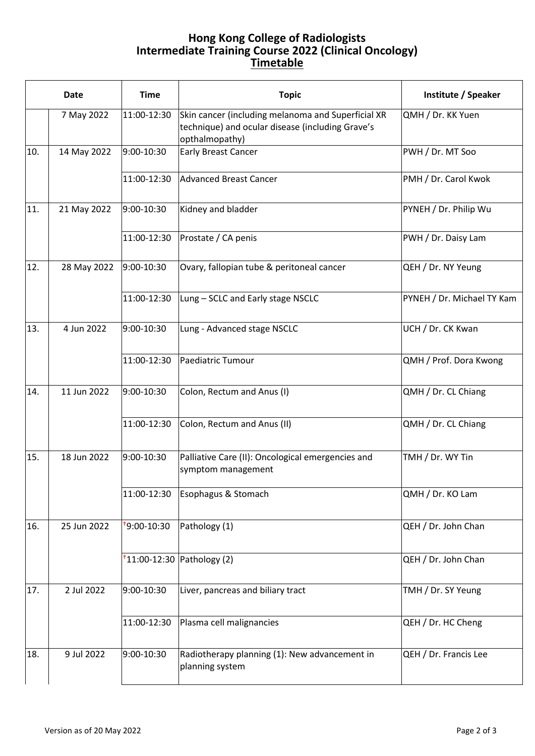## **Hong Kong College of Radiologists Intermediate Training Course 2022 (Clinical Oncology) Timetable**

|     | <b>Date</b> | <b>Time</b>             | <b>Topic</b>                                                                                                             | Institute / Speaker        |
|-----|-------------|-------------------------|--------------------------------------------------------------------------------------------------------------------------|----------------------------|
|     | 7 May 2022  | 11:00-12:30             | Skin cancer (including melanoma and Superficial XR<br>technique) and ocular disease (including Grave's<br>opthalmopathy) | QMH / Dr. KK Yuen          |
| 10. | 14 May 2022 | 9:00-10:30              | <b>Early Breast Cancer</b>                                                                                               | PWH / Dr. MT Soo           |
|     |             | 11:00-12:30             | Advanced Breast Cancer                                                                                                   | PMH / Dr. Carol Kwok       |
| 11. | 21 May 2022 | 9:00-10:30              | Kidney and bladder                                                                                                       | PYNEH / Dr. Philip Wu      |
|     |             | 11:00-12:30             | Prostate / CA penis                                                                                                      | PWH / Dr. Daisy Lam        |
| 12. | 28 May 2022 | 9:00-10:30              | Ovary, fallopian tube & peritoneal cancer                                                                                | QEH / Dr. NY Yeung         |
|     |             | 11:00-12:30             | Lung - SCLC and Early stage NSCLC                                                                                        | PYNEH / Dr. Michael TY Kam |
| 13. | 4 Jun 2022  | 9:00-10:30              | Lung - Advanced stage NSCLC                                                                                              | UCH / Dr. CK Kwan          |
|     |             | 11:00-12:30             | Paediatric Tumour                                                                                                        | QMH / Prof. Dora Kwong     |
| 14. | 11 Jun 2022 | 9:00-10:30              | Colon, Rectum and Anus (I)                                                                                               | QMH / Dr. CL Chiang        |
|     |             | 11:00-12:30             | Colon, Rectum and Anus (II)                                                                                              | QMH / Dr. CL Chiang        |
| 15. | 18 Jun 2022 | 9:00-10:30              | Palliative Care (II): Oncological emergencies and<br>symptom management                                                  | TMH / Dr. WY Tin           |
|     |             | 11:00-12:30             | Esophagus & Stomach                                                                                                      | QMH / Dr. KO Lam           |
| 16. | 25 Jun 2022 | <sup>+</sup> 9:00-10:30 | Pathology (1)                                                                                                            | QEH / Dr. John Chan        |
|     |             |                         | $t$ 11:00-12:30 Pathology (2)                                                                                            | QEH / Dr. John Chan        |
| 17. | 2 Jul 2022  | 9:00-10:30              | Liver, pancreas and biliary tract                                                                                        | TMH / Dr. SY Yeung         |
|     |             | 11:00-12:30             | Plasma cell malignancies                                                                                                 | QEH / Dr. HC Cheng         |
| 18. | 9 Jul 2022  | 9:00-10:30              | Radiotherapy planning (1): New advancement in<br>planning system                                                         | QEH / Dr. Francis Lee      |